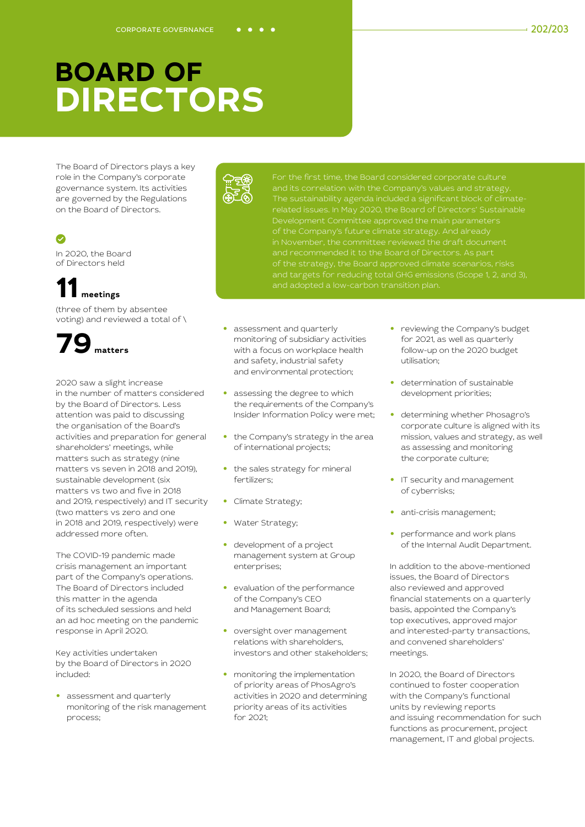# **BOARD OF DIRECTORS**

The Board of Directors plays a key role in the Company's corporate governance system. Its activities are governed by the Regulations on the Board of Directors.

### $\bullet$

In 2020, the Board of Directors held

# **11 meetings**

(three of them by absentee voting) and reviewed a total of \



2020 saw a slight increase in the number of matters considered by the Board of Directors. Less attention was paid to discussing the organisation of the Board's activities and preparation for general shareholders' meetings, while matters such as strategy (nine matters vs seven in 2018 and 2019), sustainable development (six matters vs two and five in 2018 and 2019, respectively) and IT security (two matters vs zero and one in 2018 and 2019, respectively) were addressed more often.

The COVID-19 pandemic made crisis management an important part of the Company's operations. The Board of Directors included this matter in the agenda of its scheduled sessions and held an ad hoc meeting on the pandemic response in April 2020.

Key activities undertaken by the Board of Directors in 2020 included:

**•** assessment and quarterly monitoring of the risk management process;



of the Company's future climate strategy. And already of the strategy, the Board approved climate scenarios, risks

- **•** assessment and quarterly monitoring of subsidiary activities with a focus on workplace health and safety, industrial safety and environmental protection;
- **•** assessing the degree to which the requirements of the Company's Insider Information Policy were met;
- **•** the Company's strategy in the area of international projects;
- **•** the sales strategy for mineral fertilizers;
- **•** Climate Strategy;
- **•** Water Strategy;
- **•** development of a project management system at Group enterprises;
- **•** evaluation of the performance of the Company's CEO and Management Board;
- **•** oversight over management relations with shareholders, investors and other stakeholders;
- **•** monitoring the implementation of priority areas of PhosAgro's activities in 2020 and determining priority areas of its activities for 2021;
- **•** reviewing the Company's budget for 2021, as well as quarterly follow-up on the 2020 budget utilisation;
- **•** determination of sustainable development priorities;
- **•** determining whether Phosagro's corporate culture is aligned with its mission, values and strategy, as well as assessing and monitoring the corporate culture;
- **•** IT security and management of cyberrisks;
- **•** anti-crisis management;
- **•** performance and work plans of the Internal Audit Department.

In addition to the above-mentioned issues, the Board of Directors also reviewed and approved financial statements on a quarterly basis, appointed the Company's top executives, approved major and interested-party transactions, and convened shareholders' meetings.

In 2020, the Board of Directors continued to foster cooperation with the Company's functional units by reviewing reports and issuing recommendation for such functions as procurement, project management, IT and global projects.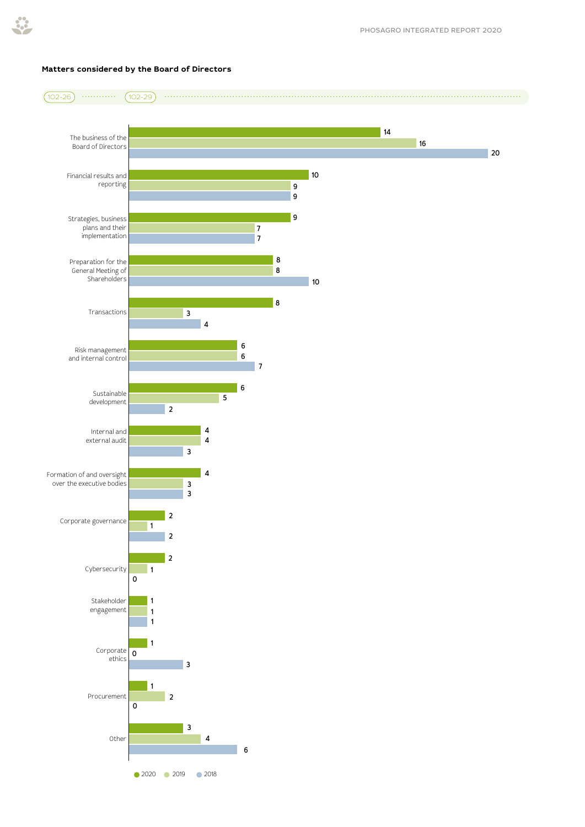

#### **Matters considered by the Board of Directors**

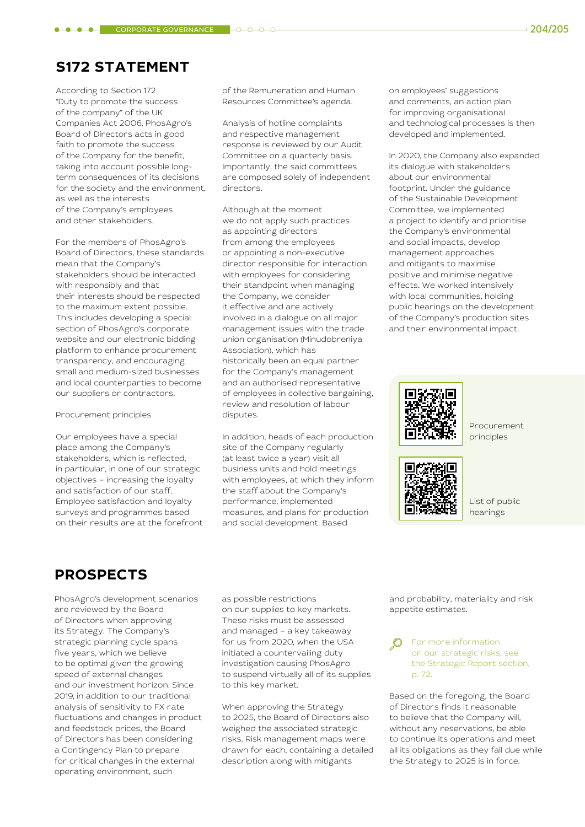# **S172 STATEMENT**

According to Section 172 "Duty to promote the success of the company" of the UK Companies Act 2006, PhosAgro's Board of Directors acts in good faith to promote the success of the Company for the benefit, taking into account possible longterm consequences of its decisions for the society and the environment, as well as the interests of the Company's employees and other stakeholders.

For the members of PhosAgro's Board of Directors, these standards mean that the Company's stakeholders should be interacted with responsibly and that their interests should be respected to the maximum extent possible. This includes developing a special section of PhosAgro's corporate website and our electronic bidding platform to enhance procurement transparency, and encouraging small and medium-sized businesses and local counterparties to become our suppliers or contractors.

#### Procurement principles

Our employees have a special place among the Company's stakeholders, which is reflected, in particular, in one of our strategic objectives – increasing the loyalty and satisfaction of our staff. Employee satisfaction and loyalty surveys and programmes based on their results are at the forefront of the Remuneration and Human Resources Committee's agenda.

Analysis of hotline complaints and respective management response is reviewed by our Audit Committee on a quarterly basis. Importantly, the said committees are composed solely of independent directors.

Although at the moment we do not apply such practices as appointing directors from among the employees or appointing a non-executive director responsible for interaction with employees for considering their standpoint when managing the Company, we consider it effective and are actively involved in a dialogue on all major management issues with the trade union organisation (Minudobreniya Association), which has historically been an equal partner for the Company's management and an authorised representative of employees in collective bargaining, review and resolution of labour disputes.

In addition, heads of each production site of the Company regularly (at least twice a year) visit all business units and hold meetings with employees, at which they inform the staff about the Company's performance, implemented measures, and plans for production and social development. Based

on employees' suggestions and comments, an action plan for improving organisational and technological processes is then developed and implemented.

In 2020, the Company also expanded its dialogue with stakeholders about our environmental footprint. Under the guidance of the Sustainable Development Committee, we implemented a project to identify and prioritise the Company's environmental and social impacts, develop management approaches and mitigants to maximise positive and minimise negative effects. We worked intensively with local communities, holding public hearings on the development of the Company's production sites and their environmental impact.





[List of public](https://www.phosagro.com/upload/docs/list_of_public_hearings_en.pdf)  hearings

# **PROSPECTS**

PhosAgro's development scenarios are reviewed by the Board of Directors when approving its Strategy. The Company's strategic planning cycle spans five years, which we believe to be optimal given the growing speed of external changes and our investment horizon. Since 2019, in addition to our traditional analysis of sensitivity to FX rate fluctuations and changes in product and feedstock prices, the Board of Directors has been considering a Contingency Plan to prepare for critical changes in the external operating environment, such

as possible restrictions on our supplies to key markets. These risks must be assessed and managed – a key takeaway for us from 2020, when the USA initiated a countervailing duty investigation causing PhosAgro to suspend virtually all of its supplies to this key market.

When approving the Strategy to 2025, the Board of Directors also weighed the associated strategic risks. Risk management maps were drawn for each, containing a detailed description along with mitigants

and probability, materiality and risk appetite estimates.

 $\bigcirc$ [For more information](#page--1-0)  [on our strategic risks, see](#page--1-0)  [the Strategic Report section,](#page--1-0)  p. [72.](#page--1-0) 

Based on the foregoing, the Board of Directors finds it reasonable to believe that the Company will, without any reservations, be able to continue its operations and meet all its obligations as they fall due while the Strategy to 2025 is in force.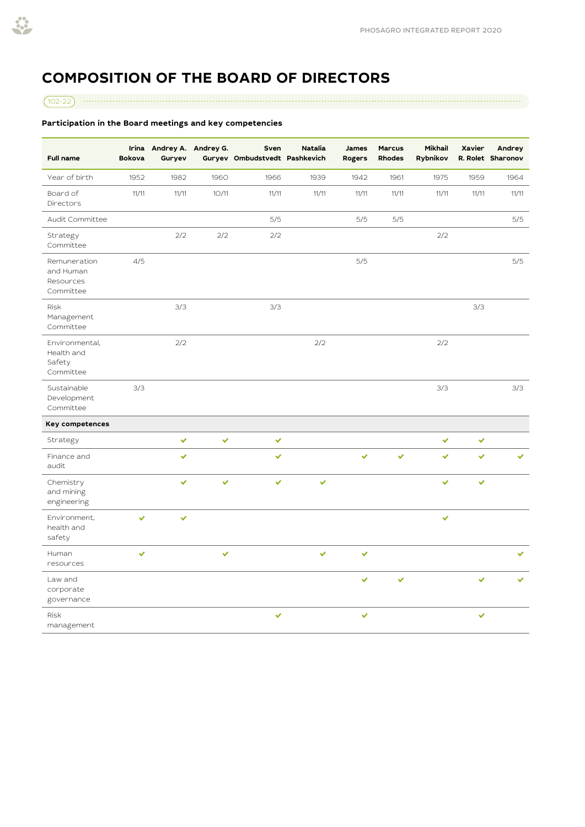# **COMPOSITION OF THE BOARD OF DIRECTORS**

102-22

### **Participation in the Board meetings and key competencies**

| <b>Full name</b>                                    | <b>Bokova</b> | Irina Andrey A. Andrey G.<br>Guryev |              | Sven<br>Guryev Ombudstvedt Pashkevich | <b>Natalia</b> | <b>James</b><br><b>Rogers</b> | <b>Marcus</b><br>Rhodes | <b>Mikhail</b><br>Rybnikov | Xavier       | Andrey<br>R. Rolet Sharonov |
|-----------------------------------------------------|---------------|-------------------------------------|--------------|---------------------------------------|----------------|-------------------------------|-------------------------|----------------------------|--------------|-----------------------------|
| Year of birth                                       | 1952          | 1982                                | 1960         | 1966                                  | 1939           | 1942                          | 1961                    | 1975                       | 1959         | 1964                        |
| Board of<br>Directors                               | 11/11         | 11/11                               | 10/11        | 11/11                                 | 11/11          | 11/11                         | 11/11                   | 11/11                      | 11/11        | 11/11                       |
| Audit Committee                                     |               |                                     |              | 5/5                                   |                | 5/5                           | 5/5                     |                            |              | 5/5                         |
| Strategy<br>Committee                               |               | 2/2                                 | 2/2          | 2/2                                   |                |                               |                         | 2/2                        |              |                             |
| Remuneration<br>and Human<br>Resources<br>Committee | 4/5           |                                     |              |                                       |                | 5/5                           |                         |                            |              | 5/5                         |
| <b>Risk</b><br>Management<br>Committee              |               | 3/3                                 |              | 3/3                                   |                |                               |                         |                            | 3/3          |                             |
| Environmental,<br>Health and<br>Safety<br>Committee |               | 2/2                                 |              |                                       | 2/2            |                               |                         | 2/2                        |              |                             |
| Sustainable<br>Development<br>Committee             | 3/3           |                                     |              |                                       |                |                               |                         | 3/3                        |              | 3/3                         |
| Key competences                                     |               |                                     |              |                                       |                |                               |                         |                            |              |                             |
| Strategy                                            |               | $\checkmark$                        | $\checkmark$ | $\checkmark$                          |                |                               |                         | $\checkmark$               | $\checkmark$ |                             |
| Finance and<br>audit                                |               | ✓                                   |              | ✓                                     |                | ◡                             |                         | ✓                          | $\checkmark$ |                             |
| Chemistry<br>and mining<br>engineering              |               | ✓                                   |              | ✓                                     | ✓              |                               |                         | V                          | $\checkmark$ |                             |
| Environment,<br>health and<br>safety                | $\checkmark$  | $\checkmark$                        |              |                                       |                |                               |                         | $\checkmark$               |              |                             |
| Human<br>resources                                  | Ÿ.            |                                     | $\checkmark$ |                                       | V              | $\checkmark$                  |                         |                            |              |                             |
| Law and<br>corporate<br>governance                  |               |                                     |              |                                       |                | $\checkmark$                  | $\checkmark$            |                            | $\checkmark$ | s.                          |
| <b>Risk</b><br>management                           |               |                                     |              | ✔                                     |                | V                             |                         |                            | $\checkmark$ |                             |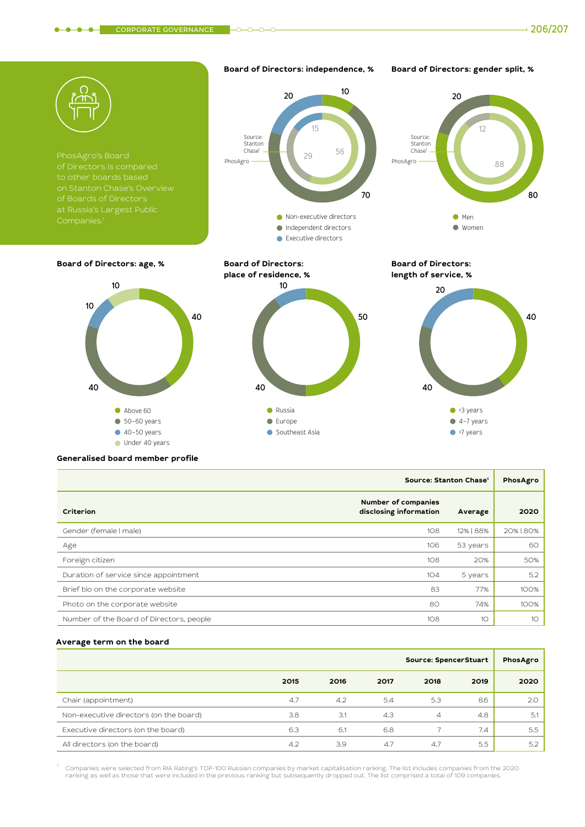

#### **Generalised board member profile**

|                                          | Source: Stanton Chase <sup>1</sup>            |           |           |  |  |
|------------------------------------------|-----------------------------------------------|-----------|-----------|--|--|
| Criterion                                | Number of companies<br>disclosing information | Average   | 2020      |  |  |
| Gender (female   male)                   | 108                                           | 12%   88% | 20%   80% |  |  |
| Age                                      | 106                                           | 53 years  | 60        |  |  |
| Foreign citizen                          | 108                                           | 20%       | 50%       |  |  |
| Duration of service since appointment    | 104                                           | 5 years   | 5.2       |  |  |
| Brief bio on the corporate website       | 83                                            | 77%       | 100%      |  |  |
| Photo on the corporate website           | 80                                            | 74%       | 100%      |  |  |
| Number of the Board of Directors, people | 108                                           | 10        | 10        |  |  |

#### **Average term on the board**

|                                        | Source: SpencerStuart |      |      |      | PhosAgro |      |
|----------------------------------------|-----------------------|------|------|------|----------|------|
|                                        | 2015                  | 2016 | 2017 | 2018 | 2019     | 2020 |
| Chair (appointment)                    | 4.7                   | 4.2  | 5.4  | 5.3  | 8.6      |      |
| Non-executive directors (on the board) | 3.8                   | 3.1  | 4.3  | 4    | 4.8      | 5.1  |
| Executive directors (on the board)     | 6.3                   | 6.1  | 6.8  |      | 7.4      | 5.5  |
| All directors (on the board)           | 4.2                   | 3.9  | 4.7  | 4.7  | 5.5      | 5.2  |

Companies were selected from RIA Rating's TOP-100 Russian companies by market capitalisation ranking. The list includes companies from the 2020 ranking as well as those that were included in the previous ranking but subseq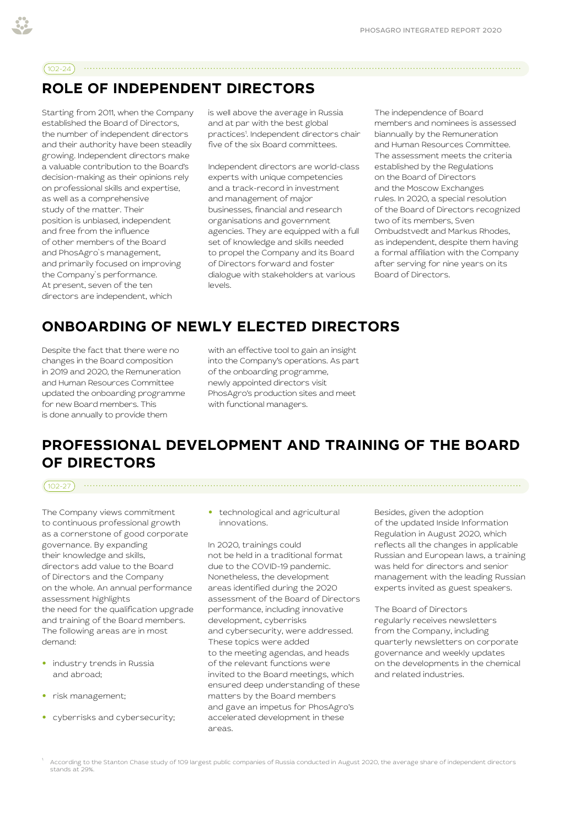#### $(102 - 24)$

### **ROLE OF INDEPENDENT DIRECTORS**

Starting from 2011, when the Company established the Board of Directors, the number of independent directors and their authority have been steadily growing. Independent directors make a valuable contribution to the Board's decision-making as their opinions rely on professional skills and expertise, as well as a comprehensive study of the matter. Their position is unbiased, independent and free from the influence of other members of the Board and PhosAgro`s management, and primarily focused on improving the Company`s performance. At present, seven of the ten directors are independent, which

is well above the average in Russia and at par with the best global practices1 . Independent directors chair five of the six Board committees.

Independent directors are world-class experts with unique competencies and a track-record in investment and management of major businesses, financial and research organisations and government agencies. They are equipped with a full set of knowledge and skills needed to propel the Company and its Board of Directors forward and foster dialogue with stakeholders at various levels.

The independence of Board members and nominees is assessed biannually by the Remuneration and Human Resources Committee. The assessment meets the criteria established by the Regulations on the Board of Directors and the Moscow Exchanges rules. In 2020, a special resolution of the Board of Directors recognized two of its members, Sven Ombudstvedt and Markus Rhodes, as independent, despite them having a formal affiliation with the Company after serving for nine years on its Board of Directors.

### **ONBOARDING OF NEWLY ELECTED DIRECTORS**

Despite the fact that there were no changes in the Board composition in 2019 and 2020, the Remuneration and Human Resources Committee updated the onboarding programme for new Board members. This is done annually to provide them

with an effective tool to gain an insight into the Company's operations. As part of the onboarding programme, newly appointed directors visit PhosAgro's production sites and meet with functional managers.

# **PROFESSIONAL DEVELOPMENT AND TRAINING OF THE BOARD OF DIRECTORS**

 $(102 - 27)$ 

The Company views commitment to continuous professional growth as a cornerstone of good corporate governance. By expanding their knowledge and skills, directors add value to the Board of Directors and the Company on the whole. An annual performance assessment highlights the need for the qualification upgrade and training of the Board members. The following areas are in most demand:

- **•** industry trends in Russia and abroad;
- **•** risk management;
- **•** cyberrisks and cybersecurity;

**•** technological and agricultural innovations.

#### In 2020, trainings could

not be held in a traditional format due to the COVID-19 pandemic. Nonetheless, the development areas identified during the 2020 assessment of the Board of Directors performance, including innovative development, cyberrisks and cybersecurity, were addressed. These topics were added to the meeting agendas, and heads of the relevant functions were invited to the Board meetings, which ensured deep understanding of these matters by the Board members and gave an impetus for PhosAgro's accelerated development in these areas.

Besides, given the adoption of the updated Inside Information Regulation in August 2020, which reflects all the changes in applicable Russian and European laws, a training was held for directors and senior management with the leading Russian experts invited as guest speakers.

The Board of Directors regularly receives newsletters from the Company, including quarterly newsletters on corporate governance and weekly updates on the developments in the chemical and related industries.

1. According to the Stanton Chase study of 109 largest public companies of Russia conducted in August 2020, the average share of independent directors stands at 29%.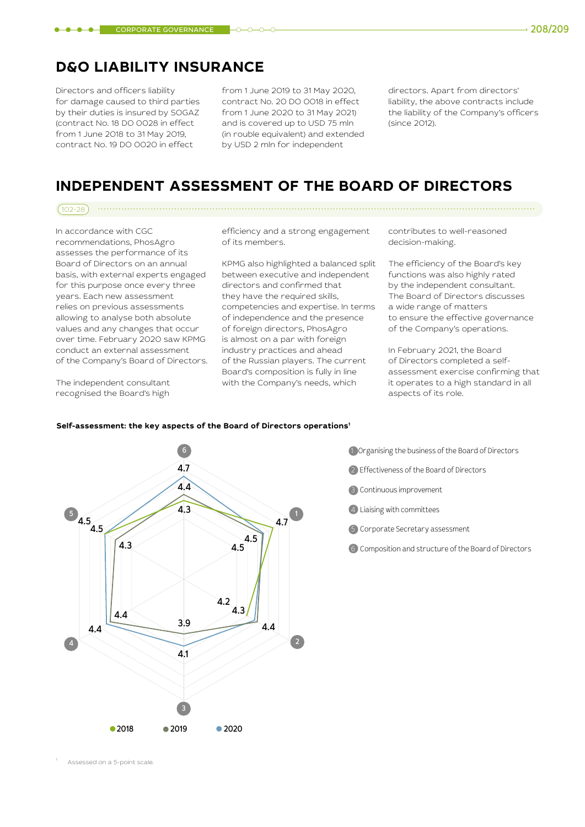## **D&O LIABILITY INSURANCE**

Directors and officers liability for damage caused to third parties by their duties is insured by SOGAZ (contract No. 18 DO 0028 in effect from 1 June 2018 to 31 May 2019, contract No. 19 DO 0020 in effect

from 1 June 2019 to 31 May 2020, contract No. 20 DO 0018 in effect from 1 June 2020 to 31 May 2021) and is covered up to USD 75 mln (in rouble equivalent) and extended by USD 2 mln for independent

directors. Apart from directors' liability, the above contracts include the liability of the Company's officers (since 2012).

# **INDEPENDENT ASSESSMENT OF THE BOARD OF DIRECTORS**

 $(102-28)$ 

In accordance with CGC recommendations, PhosAgro assesses the performance of its Board of Directors on an annual basis, with external experts engaged for this purpose once every three years. Each new assessment relies on previous assessments allowing to analyse both absolute values and any changes that occur over time. February 2020 saw KPMG conduct an external assessment of the Company's Board of Directors.

The independent consultant recognised the Board's high

efficiency and a strong engagement of its members.

KPMG also highlighted a balanced split between executive and independent directors and confirmed that they have the required skills, competencies and expertise. In terms of independence and the presence of foreign directors, PhosAgro is almost on a par with foreign industry practices and ahead of the Russian players. The current Board's composition is fully in line with the Company's needs, which

contributes to well-reasoned decision-making.

The efficiency of the Board's key functions was also highly rated by the independent consultant. The Board of Directors discusses a wide range of matters to ensure the effective governance of the Company's operations.

In February 2021, the Board of Directors completed a selfassessment exercise confirming that it operates to a high standard in all aspects of its role.



2018 2019 2020

3

### **Self-assessment: the key aspects of the Board of Directors operations1**

1 Organising the business of the Board of Directors

- 2 Effectiveness of the Board of Directors
- 3 Continuous improvement
- 4 Liaising with committees
- 5 Corporate Secretary assessment
- 6 Composition and structure of the Board of Directors

Assessed on a 5-point scale.

CORPORATE GOVERNANCE 208/209